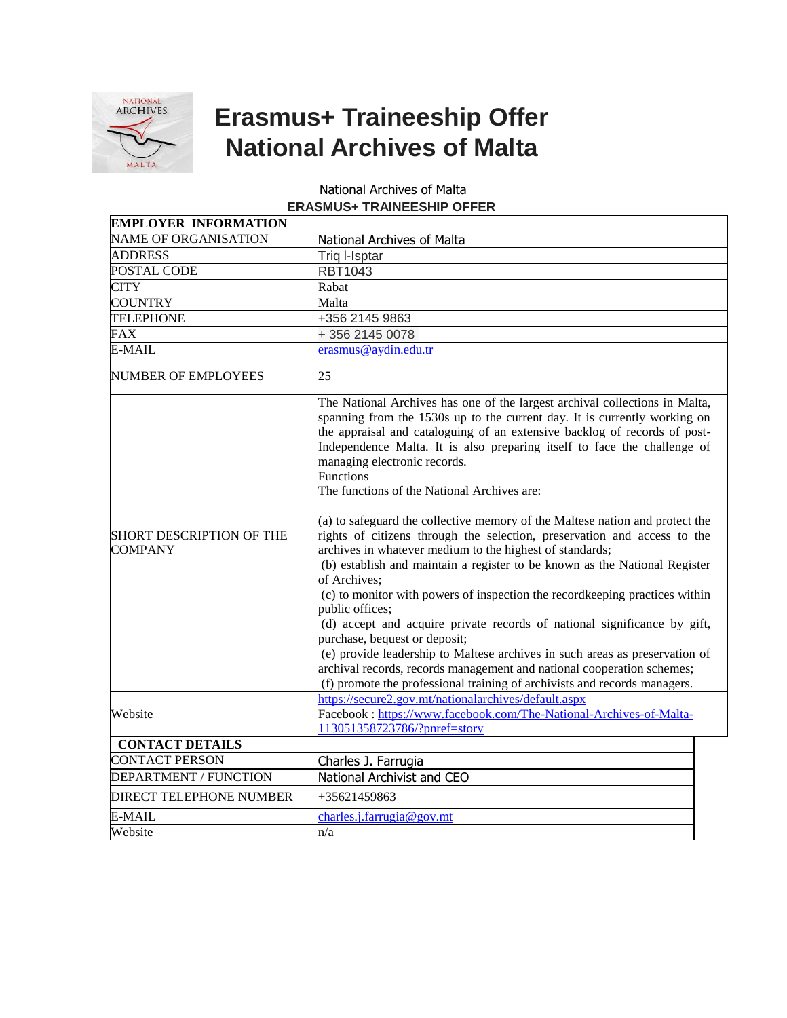

## **Erasmus+ Traineeship Offer National Archives of Malta**

## National Archives of Malta **ERASMUS+ TRAINEESHIP OFFER**

| <b>EMPLOYER INFORMATION</b>                       |                                                                                                                                                                                                                                                                                                                                                                                                                                                                                                                                                                                                                                                                                                                                                                                                                                                                                                                                                                                                                                                                                                                                                                                                   |
|---------------------------------------------------|---------------------------------------------------------------------------------------------------------------------------------------------------------------------------------------------------------------------------------------------------------------------------------------------------------------------------------------------------------------------------------------------------------------------------------------------------------------------------------------------------------------------------------------------------------------------------------------------------------------------------------------------------------------------------------------------------------------------------------------------------------------------------------------------------------------------------------------------------------------------------------------------------------------------------------------------------------------------------------------------------------------------------------------------------------------------------------------------------------------------------------------------------------------------------------------------------|
| <b>NAME OF ORGANISATION</b>                       | National Archives of Malta                                                                                                                                                                                                                                                                                                                                                                                                                                                                                                                                                                                                                                                                                                                                                                                                                                                                                                                                                                                                                                                                                                                                                                        |
| <b>ADDRESS</b>                                    | Triq I-Isptar                                                                                                                                                                                                                                                                                                                                                                                                                                                                                                                                                                                                                                                                                                                                                                                                                                                                                                                                                                                                                                                                                                                                                                                     |
| POSTAL CODE                                       | <b>RBT1043</b>                                                                                                                                                                                                                                                                                                                                                                                                                                                                                                                                                                                                                                                                                                                                                                                                                                                                                                                                                                                                                                                                                                                                                                                    |
| <b>CITY</b>                                       | Rabat                                                                                                                                                                                                                                                                                                                                                                                                                                                                                                                                                                                                                                                                                                                                                                                                                                                                                                                                                                                                                                                                                                                                                                                             |
| <b>COUNTRY</b>                                    | Malta                                                                                                                                                                                                                                                                                                                                                                                                                                                                                                                                                                                                                                                                                                                                                                                                                                                                                                                                                                                                                                                                                                                                                                                             |
| <b>TELEPHONE</b>                                  | +356 2145 9863                                                                                                                                                                                                                                                                                                                                                                                                                                                                                                                                                                                                                                                                                                                                                                                                                                                                                                                                                                                                                                                                                                                                                                                    |
| FAX                                               | +356 2145 0078                                                                                                                                                                                                                                                                                                                                                                                                                                                                                                                                                                                                                                                                                                                                                                                                                                                                                                                                                                                                                                                                                                                                                                                    |
| E-MAIL                                            | erasmus@aydin.edu.tr                                                                                                                                                                                                                                                                                                                                                                                                                                                                                                                                                                                                                                                                                                                                                                                                                                                                                                                                                                                                                                                                                                                                                                              |
| <b>NUMBER OF EMPLOYEES</b>                        | 25                                                                                                                                                                                                                                                                                                                                                                                                                                                                                                                                                                                                                                                                                                                                                                                                                                                                                                                                                                                                                                                                                                                                                                                                |
| <b>SHORT DESCRIPTION OF THE</b><br><b>COMPANY</b> | The National Archives has one of the largest archival collections in Malta,<br>spanning from the 1530s up to the current day. It is currently working on<br>the appraisal and cataloguing of an extensive backlog of records of post-<br>Independence Malta. It is also preparing itself to face the challenge of<br>managing electronic records.<br><b>Functions</b><br>The functions of the National Archives are:<br>$(a)$ to safeguard the collective memory of the Maltese nation and protect the<br>rights of citizens through the selection, preservation and access to the<br>archives in whatever medium to the highest of standards;<br>(b) establish and maintain a register to be known as the National Register<br>of Archives:<br>(c) to monitor with powers of inspection the recordkeeping practices within<br>public offices;<br>(d) accept and acquire private records of national significance by gift,<br>purchase, bequest or deposit;<br>(e) provide leadership to Maltese archives in such areas as preservation of<br>archival records, records management and national cooperation schemes;<br>(f) promote the professional training of archivists and records managers. |
| Website                                           | https://secure2.gov.mt/nationalarchives/default.aspx<br>Facebook: https://www.facebook.com/The-National-Archives-of-Malta-<br>113051358723786/?pnref=story                                                                                                                                                                                                                                                                                                                                                                                                                                                                                                                                                                                                                                                                                                                                                                                                                                                                                                                                                                                                                                        |
| <b>CONTACT DETAILS</b>                            |                                                                                                                                                                                                                                                                                                                                                                                                                                                                                                                                                                                                                                                                                                                                                                                                                                                                                                                                                                                                                                                                                                                                                                                                   |
| <b>CONTACT PERSON</b>                             | Charles J. Farrugia                                                                                                                                                                                                                                                                                                                                                                                                                                                                                                                                                                                                                                                                                                                                                                                                                                                                                                                                                                                                                                                                                                                                                                               |
| <b>DEPARTMENT / FUNCTION</b>                      | National Archivist and CEO                                                                                                                                                                                                                                                                                                                                                                                                                                                                                                                                                                                                                                                                                                                                                                                                                                                                                                                                                                                                                                                                                                                                                                        |
| <b>DIRECT TELEPHONE NUMBER</b>                    | +35621459863                                                                                                                                                                                                                                                                                                                                                                                                                                                                                                                                                                                                                                                                                                                                                                                                                                                                                                                                                                                                                                                                                                                                                                                      |
| E-MAIL                                            | charles.j.farrugia@gov.mt                                                                                                                                                                                                                                                                                                                                                                                                                                                                                                                                                                                                                                                                                                                                                                                                                                                                                                                                                                                                                                                                                                                                                                         |
| Website                                           | n/a                                                                                                                                                                                                                                                                                                                                                                                                                                                                                                                                                                                                                                                                                                                                                                                                                                                                                                                                                                                                                                                                                                                                                                                               |